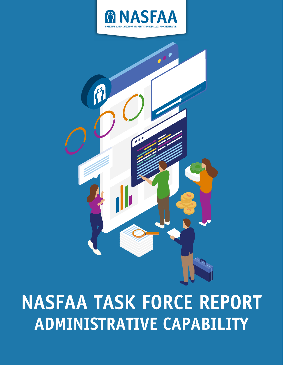



# **NASFAA TASK FORCE REPORT ADMINISTRATIVE CAPABILITY**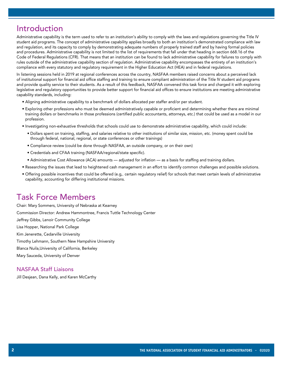# Introduction

Administrative capability is the term used to refer to an institution's ability to comply with the laws and regulations governing the Title IV student aid programs. The concept of administrative capability applies broadly to both an institution's demonstrated compliance with law and regulation, and its capacity to comply by demonstrating adequate numbers of properly trained staff and by having formal policies and procedures. Administrative capability is not limited to the list of requirements that fall under that heading in section 668.16 of the Code of Federal Regulations (CFR). That means that an institution can be found to lack administrative capability for failures to comply with rules outside of the administrative capability section of regulation. Administrative capability encompasses the entirety of an institution's compliance with every statutory and regulatory requirement in the Higher Education Act (HEA) and in federal regulations.

In listening sessions held in 2019 at regional conferences across the country, NASFAA members raised concerns about a perceived lack of institutional support for financial aid office staffing and training to ensure compliant administration of the Title IV student aid programs and provide quality service to their students. As a result of this feedback, NASFAA convened this task force and charged it with exploring legislative and regulatory opportunities to provide better support for financial aid offices to ensure institutions are meeting administrative capability standards, including:

- Aligning administrative capability to a benchmark of dollars allocated per staffer and/or per student.
- Exploring other professions who must be deemed administratively capable or proficient and determining whether there are minimal training dollars or benchmarks in those professions (certified public accountants, attorneys, etc.) that could be used as a model in our profession.
- Investigating non-exhaustive thresholds that schools could use to demonstrate administrative capability, which could include:
	- Dollars spent on training, staffing, and salaries relative to other institutions of similar size, mission, etc. (money spent could be through federal, national, regional, or state conferences or other trainings)
	- Compliance review (could be done through NASFAA, an outside company, or on their own)
	- Credentials and CFAA training (NASFAA/regional/state specific).
	- Administrative Cost Allowance (ACA) amounts adjusted for inflation as a basis for staffing and training dollars.
- Researching the issues that lead to heightened cash management in an effort to identify common challenges and possible solutions.
- Offering possible incentives that could be offered (e.g,. certain regulatory relief) for schools that meet certain levels of administrative capability, accounting for differing institutional missions.

### Task Force Members

Chair: Mary Sommers, University of Nebraska at Kearney Commission Director: Andrew Hammontree, Francis Tuttle Technology Center Jeffrey Gibbs, Lenoir Community College Lisa Hopper, National Park College Kim Jenerette, Cedarville University Timothy Lehmann, Southern New Hampshire University Blanca Nuila,University of California, Berkeley Mary Sauceda, University of Denver

### NASFAA Staff Liaisons

Jill Desjean, Dana Kelly, and Karen McCarthy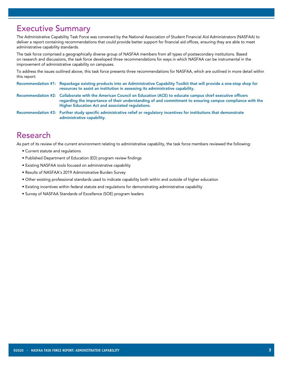### Executive Summary

The Administrative Capability Task Force was convened by the National Association of Student Financial Aid Administrators (NASFAA) to deliver a report containing recommendations that could provide better support for financial aid offices, ensuring they are able to meet administrative capability standards.

The task force comprised a geographically diverse group of NASFAA members from all types of postsecondary institutions. Based on research and discussions, the task force developed three recommendations for ways in which NASFAA can be instrumental in the improvement of administrative capability on campuses.

To address the issues outlined above, this task force presents three recommendations for NASFAA, which are outlined in more detail within this report:

Recommendation #1: Repackage existing products into an Administrative Capability Toolkit that will provide a one-stop shop for resources to assist an institution in assessing its administrative capability.

Recommendation #2: Collaborate with the American Council on Education (ACE) to educate campus chief executive officers regarding the importance of their understanding of and commitment to ensuring campus compliance with the Higher Education Act and associated regulations.

Recommendation #3: Further study specific administrative relief or regulatory incentives for institutions that demonstrate administrative capability.

## Research

As part of its review of the current environment relating to administrative capability, the task force members reviewed the following:

- Current statute and regulations
- Published Department of Education (ED) program review findings
- Existing NASFAA tools focused on administrative capability
- Results of NASFAA's 2019 Administrative Burden Survey
- Other existing professional standards used to indicate capability both within and outside of higher education
- Existing incentives within federal statute and regulations for demonstrating administrative capability
- Survey of NASFAA Standards of Excellence (SOE) program leaders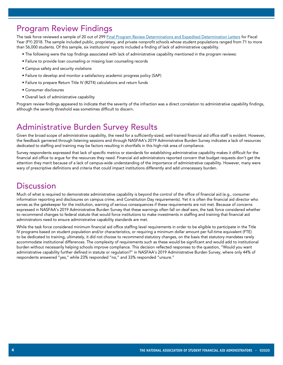# Program Review Findings

The task force reviewed a sample of 20 out of 299 [Final Program Review Determinations and Expedited Determination Letters](https://studentaid.gov/data-center/school/program-reviews) for Fiscal Year (FY) 2018. The sample included public, proprietary, and private nonprofit schools whose student populations ranged from 71 to more than 56,000 students. Of this sample, six institutions' reports included a finding of lack of administrative capability.

- The following were the top findings associated with lack of administrative capability mentioned in the program reviews:
- Failure to provide loan counseling or missing loan counseling records
- Campus safety and security violations
- Failure to develop and monitor a satisfactory academic progress policy (SAP)
- Failure to prepare Return Title IV (R2T4) calculations and return funds
- Consumer disclosures
- Overall lack of administrative capability

Program review findings appeared to indicate that the severity of the infraction was a direct correlation to administrative capability findings, although the severity threshold was sometimes difficult to discern.

# Administrative Burden Survey Results

Given the broad scope of administrative capability, the need for a sufficiently-sized, well-trained financial aid office staff is evident. However, the feedback garnered through listening sessions and through NASFAA's 2019 Administrative Burden Survey indicates a lack of resources dedicated to staffing and training may be factors resulting in shortfalls in this high-risk area of compliance.

Survey respondents expressed that lack of specific metrics or standards for establishing administrative capability makes it difficult for the financial aid office to argue for the resources they need. Financial aid administrators reported concern that budget requests don't get the attention they merit because of a lack of campus-wide understanding of the importance of administrative capability. However, many were wary of prescriptive definitions and criteria that could impact institutions differently and add unnecessary burden.

### **Discussion**

Much of what is required to demonstrate administrative capability is beyond the control of the office of financial aid (e.g., consumer information reporting and disclosures on campus crime, and Constitution Day requirements). Yet it is often the financial aid director who serves as the gatekeeper for the institution, warning of serious consequences if these requirements are not met. Because of concerns expressed in NASFAA's 2019 Administrative Burden Survey that these warnings often fall on deaf ears, the task force considered whether to recommend changes to federal statute that would force institutions to make investments in staffing and training that financial aid administrators need to ensure administrative capability standards are met.

While the task force considered minimum financial aid office staffing level requirements in order to be eligible to participate in the Title IV programs based on student population and/or characteristics, or requiring a minimum dollar amount per full-time equivalent (FTE) to be dedicated to training, ultimately, it did not choose to recommend statutory changes, on the basis that statutory mandates rarely accommodate institutional differences. The complexity of requirements such as these would be significant and would add to institutional burden without necessarily helping schools improve compliance. This decision reflected responses to the question, "Would you want administrative capability further defined in statute or regulation?" in NASFAA's 2019 Administrative Burden Survey, where only 44% of respondents answered "yes," while 23% responded "no," and 33% responded "unsure."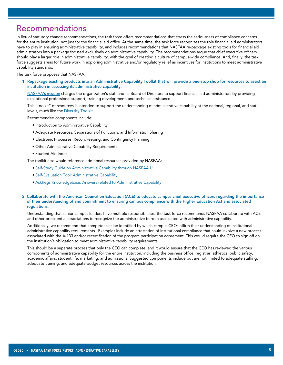### Recommendations

In lieu of statutory change recommendations, the task force offers recommendations that stress the seriousness of compliance concerns for the entire institution, not just for the financial aid office. At the same time, the task force recognizes the role financial aid administrators have to play in ensuring administrative capability, and includes recommendations that NASFAA re-package existing tools for financial aid administrators into a package focused exclusively on administrative capability. The recommendations argue that chief executive officers should play a larger role in administrative capability, with the goal of creating a culture of campus-wide compliance. And, finally, the task force suggests areas for future work in exploring administrative and/or regulatory relief as incentives for institutions to meet administrative capability standards.

#### The task force proposes that NASFAA:

1. Repackage existing products into an Administrative Capability Toolkit that will provide a one-stop shop for resources to assist an institution in assessing its administrative capability.

 [NASFAA's mission](https://www.nasfaa.org/About_NASFAA#mission) charges the organization's staff and its Board of Directors to support financial aid administrators by providing exceptional professional support, training development, and technical assistance.

 This "toolkit" of resources is intended to support the understanding of administrative capability at the national, regional, and state levels, much like the [Diversity Toolkit.](https://www.nasfaa.org/diversity_toolkit)

Recommended components include:

- Introduction to Administrative Capability
- Adequate Resources, Separations of Functions, and Information Sharing
- Electronic Processes, Recordkeeping, and Contingency Planning
- Other Administrative Capability Requirements
- Student Aid Index

The toolkit also would reference additional resources provided by NASFAA:

- [Self-Study Guide on Administrative Capability through NASFAA U](https://www.nasfaa.org/ssg_administrative_capability)
- [Self-Evaluation Tool: Administrative Capability](https://www.nasfaa.org/sec)
- [AskRegs Knowledgebase: Answers related to Administrative Capability](https://askregs.nasfaa.org/knowledgebase/category/?id=CAT-01235)

#### 2. Collaborate with the American Council on Education (ACE) to educate campus chief executive officers regarding the importance of their understanding of and commitment to ensuring campus compliance with the Higher Education Act and associated regulations.

 Understanding that senior campus leaders have multiple responsibilities, the task force recommends NASFAA collaborate with ACE and other presidential associations to recognize the administrative burden associated with administrative capability.

 Additionally, we recommend that competencies be identified by which campus CEOs affirm their understanding of institutional administrative capability requirements. Examples include an attestation of institutional compliance that could involve a new process associated with the A-133 and/or recertification of the program participation agreement. This would require the CEO to sign off on the institution's obligation to meet administrative capability requirements.

 This should be a separate process that only the CEO can complete, and it would ensure that the CEO has reviewed the various components of administrative capability for the entire institution, including the business office, registrar, athletics, public safety, academic affairs, student life, marketing, and admissions. Suggested components include but are not limited to adequate staffing, adequate training, and adequate budget resources across the institution.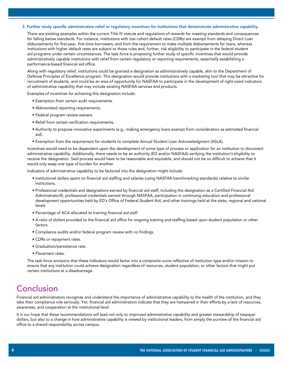#### 3. Further study specific administrative relief or regulatory incentives for institutions that demonstrate administrative capability.

 There are existing examples within the current Title IV statute and regulations of rewards for meeting standards and consequences for falling below standards. For instance, institutions with low cohort default rates (CDRs) are exempt from delaying Direct Loan disbursements for first-year, first-time borrowers, and from the requirement to make multiple disbursements for loans, whereas institutions with higher default rates are subject to those rules and, further, risk eligibility to participate in the federal student aid programs under certain circumstances. The task force is proposing further study of specific incentives that would provide administratively capable institutions with relief from certain regulatory or reporting requirements, essentially establishing a performance-based financial aid office.

 Along with regulatory relief, institutions could be granted a designation as administratively capable, akin to the Department of Defense Principles of Excellence program. This designation would provide institutions with a marketing tool that may be attractive for recruitment of students, and could be an area of opportunity for NASFAA to participate in the development of right-sized indicators of administrative capability that may include existing NASFAA services and products.

Examples of incentives for achieving this designation include:

- Exemption from certain audit requirements.
- Abbreviated reporting requirements.
- Federal program review waivers.
- Relief from certain verification requirements.
- Authority to propose innovative experiments (e.g., making emergency loans exempt from consideration as estimated financial aid).
- Exemption from the requirement for students to complete Annual Student Loan Acknowledgment (ASLA).

 Incentives would need to be dependent upon the development of some type of process or application for an institution to document administrative capability. Additionally, there needs to be an authority (ED and/or NASFAA) verifying the institution's eligibility to receive the designation. Said process would have to be reasonable and equitable, and should not be so difficult to achieve that it would only swap one type of burden for another.

Indicators of administrative capability to be factored into the designation might include:

- Institutional dollars spent on financial aid staffing and salaries (using NASFAA benchmarking standards) relative to similar institutions.
- Professional credentials and designations earned by financial aid staff, including the designation as a Certified Financial Aid Administrator®, professional credentials earned through NASFAA, participation in continuing education and professional development opportunities held by ED's Office of Federal Student Aid, and other trainings held at the state, regional and national levels
- Percentage of ACA allocated to training financial aid staff.
- A ratio of dollars provided to the financial aid office for ongoing training and staffing based upon student population or other factors.
- Compliance audits and/or federal program review with no findings.
- CDRs or repayment rates.
- Graduation/persistence rate.
- Placement rates.

 The task force envisions that these indicators would factor into a composite score reflective of institution type and/or mission to ensure that any institution could achieve designation regardless of resources, student population, or other factors that might put certain institutions at a disadvantage.

# Conclusion

Financial aid administrators recognize and understand the importance of administrative capability to the health of the institution, and they take their compliance role seriously. Yet, financial aid administrators indicate that they are hampered in their efforts by a lack of resources, awareness, and cooperation at the institutional level.

It is our hope that these recommendations will lead not only to improved administrative capability and greater stewardship of taxpayer dollars, but also to a change in how administrative capability is viewed by institutional leaders, from simply the purview of the financial aid office to a shared responsibility across campus.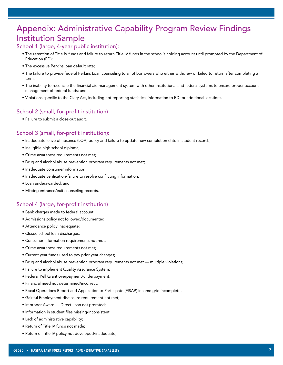# Appendix: Administrative Capability Program Review Findings Institution Sample

### School 1 (large, 4-year public institution):

- The retention of Title IV funds and failure to return Title IV funds in the school's holding account until prompted by the Department of Education (ED);
- The excessive Perkins loan default rate;
- The failure to provide federal Perkins Loan counseling to all of borrowers who either withdrew or failed to return after completing a term;
- The inability to reconcile the financial aid management system with other institutional and federal systems to ensure proper account management of federal funds; and
- Violations specific to the Clery Act, including not reporting statistical information to ED for additional locations.

### School 2 (small, for-profit institution)

• Failure to submit a close-out audit.

### School 3 (small, for-profit institution):

- Inadequate leave of absence (LOA) policy and failure to update new completion date in student records;
- Ineligible high school diploma;
- Crime awareness requirements not met;
- Drug and alcohol abuse prevention program requirements not met;
- Inadequate consumer information;
- Inadequate verification/failure to resolve conflicting information;
- Loan underawarded; and
- Missing entrance/exit counseling records.

### School 4 (large, for-profit institution)

- Bank charges made to federal account;
- Admissions policy not followed/documented;
- Attendance policy inadequate;
- Closed school loan discharges;
- Consumer information requirements not met;
- Crime awareness requirements not met;
- Current year funds used to pay prior year changes;
- Drug and alcohol abuse prevention program requirements not met multiple violations;
- Failure to implement Quality Assurance System;
- Federal Pell Grant overpayment/underpayment;
- Financial need not determined/incorrect;
- Fiscal Operations Report and Application to Participate (FISAP) income grid incomplete;
- Gainful Employment disclosure requirement not met;
- Improper Award Direct Loan not prorated;
- Information in student files missing/inconsistent;
- Lack of administrative capability;
- Return of Title IV funds not made;
- Return of Title IV policy not developed/inadequate;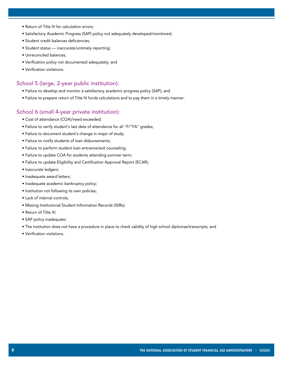- Return of Title IV for calculation errors;
- Satisfactory Academic Progress (SAP) policy not adequately developed/monitored;
- Student credit balances deficiencies;
- Student status inaccurate/untimely reporting;
- Unreconciled balances;
- Verification policy not documented adequately; and
- Verification violations.

### School 5 (large, 2-year public institution):

- Failure to develop and monitor a satisfactory academic progress policy (SAP); and
- Failure to prepare return of Title IV funds calculations and to pay them in a timely manner.

#### School 6 (small 4-year private institution):

- Cost of attendance (COA)/need exceeded;
- Failure to verify student's last date of attendance for all "F/"FA" grades;
- Failure to document student's change in major of study;
- Failure to notify students of loan disbursements;
- Failure to perform student loan entrance/exit counseling;
- Failure to update COA for students attending summer term;
- Failure to update Eligibility and Certification Approval Report (ECAR);
- Inaccurate ledgers;
- Inadequate award letters;
- Inadequate academic bankruptcy policy;
- Institution not following its own policies;
- Lack of internal controls;
- Missing Institutional Student Information Records (ISIRs);
- Return of Title IV;
- SAP policy inadequate;
- The institution does not have a procedure in place to check validity of high school diplomas/transcripts; and
- Verification violations.